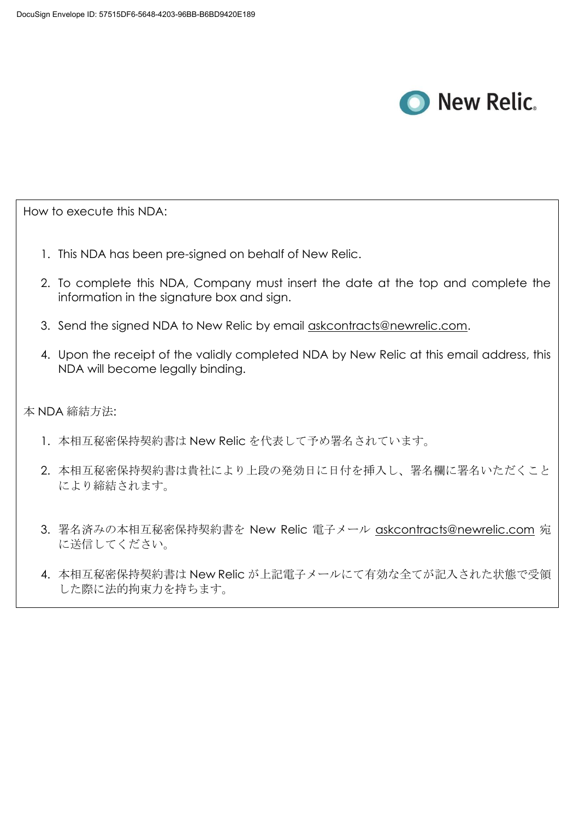

How to execute this NDA:

- 1. This NDA has been pre-signed on behalf of New Relic.
- 2. To complete this NDA, Company must insert the date at the top and complete the information in the signature box and sign.
- 3. Send the signed NDA to New Relic by email [askcontracts@newrelic.com.](mailto:askcontracts@newrelic.com)
- 4. Upon the receipt of the validly completed NDA by New Relic at this email address, this NDA will become legally binding.

本 NDA 締結方法:

- 1. 本相互秘密保持契約書は New Relic を代表して予め署名されています。
- 2. 本相互秘密保持契約書は貴社により上段の発効日に日付を挿入し、署名欄に署名いただくこと により締結されます。
- 3. 署名済みの本相互秘密保持契約書を New Relic 電子メール [askcontracts@newrelic.com](mailto:askcontracts@newrelic.com) 宛 に送信してください。
- 4. 本相互秘密保持契約書は New Relic が上記電子メールにて有効な全てが記入された状態で受領 した際に法的拘束力を持ちます。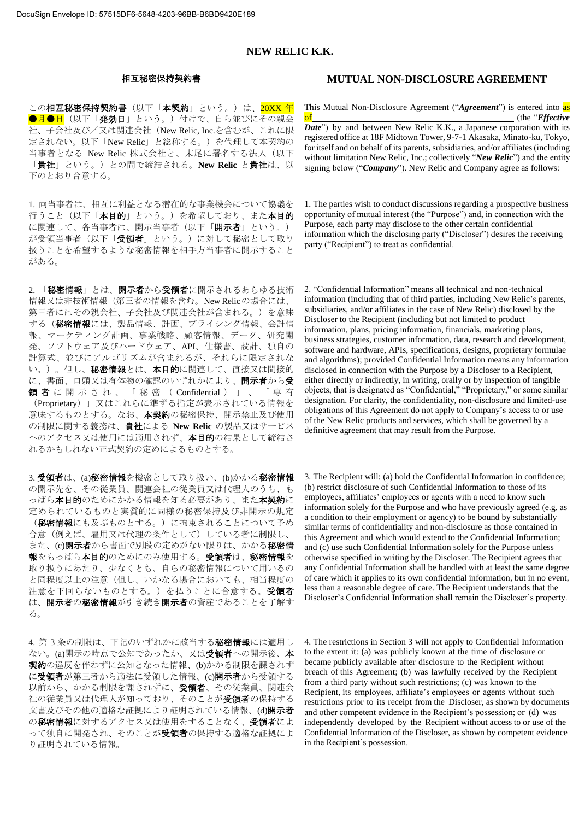# **NEW RELIC K.K.**

この相互秘密保持契約書(以下「本契約」という。)は、<mark>20XX 年</mark> ●月●日(以下「発効日」という。)付けで、自ら並びにその親会 社、子会社及び/又は関連会社(New Relic, Inc.を含むが、これに限 定されない。以下「New Relic」と総称する。)を代理して本契約の 当事者となる New Relic 株式会社と、末尾に署名する法人(以下 「貴社」という。)との間で締結される。**New Relic** と貴社は、以 下のとおり合意する。

1. 両当事者は、相互に利益となる潜在的な事業機会について協議を 行うこと(以下「本目的」という。)を希望しており、また本目的 に関連して、各当事者は、開示当事者(以下「開示者」という。) が受領当事者(以下「受領者」という。)に対して秘密として取り 扱うことを希望するような秘密情報を相手方当事者に開示すること がある。

2. 「秘密情報」とは、開示者から受領者に開示されるあらゆる技術 情報又は非技術情報(第三者の情報を含む。New Relicの場合には、 第三者にはその親会社、子会社及び関連会社が含まれる。)を意味 する(秘密情報には、製品情報、計画、プライシング情報、会計情 報、マーケティング計画、事業戦略、顧客情報、データ、研究開 発、ソフトウェア及びハードウェア、API、仕様書、設計、独自の 計算式、並びにアルゴリズムが含まれるが、それらに限定されな い。)。但し、秘密情報とは、本目的に関連して、直接又は間接的 に、書面、口頭又は有体物の確認のいずれかにより、開示者から受 領 者 に 開 示 さ れ 、 「 秘 密 ( Confidential ) 」 、 「 専 有 (Proprietary)」又はこれらに準ずる指定が表示されている情報を 意味するものとする。なお、本契約の秘密保持、開示禁止及び使用 の制限に関する義務は、貴社による **New Relic** の製品又はサービス へのアクセス又は使用には適用されず、本目的の結果として締結さ れるかもしれない正式契約の定めによるものとする。

3. 受領者は、(a)秘密情報を機密として取り扱い、(b)かかる秘密情報 の開示先を、その従業員、関連会社の従業員又は代理人のうち、も っぱら本目的のためにかかる情報を知る必要があり、また本契約に 定められているものと実質的に同様の秘密保持及び非開示の規定 (秘密情報にも及ぶものとする。)に拘束されることについて予め 合意(例えば、雇用又は代理の条件として)している者に制限し、 また、(c)開示者から書面で別段の定めがない限りは、かかる秘密情 報をもっぱら本目的のためにのみ使用する。受領者は、秘密情報を 取り扱うにあたり、少なくとも、自らの秘密情報について用いるの と同程度以上の注意(但し、いかなる場合においても、相当程度の 注意を下回らないものとする。)を払うことに合意する。受領者 は、開示者の秘密情報が引き続き開示者の資産であることを了解す る。

4. 第3条の制限は、下記のいずれかに該当する秘密情報には適用し ない。(a)開示の時点で公知であったか、又は受領者への開示後、本 契約の違反を伴わずに公知となった情報、(b)かかる制限を課されず に受領者が第三者から適法に受領した情報、(c)開示者から受領する 以前から、かかる制限を課されずに、受領者、その従業員、関連会 社の従業員又は代理人が知っており、そのことが受領者の保持する 文書及びその他の適格な証拠により証明されている情報、(d)開示者 の秘密情報に対するアクセス又は使用をすることなく、受領者によ って独自に開発され、そのことが受領者の保持する適格な証拠によ り証明されている情報。

## 相互秘密保持契約書 **MUTUAL NON-DISCLOSURE AGREEMENT**

This Mutual Non-Disclosure Agreement ("*Agreement*") is entered into as of the "*Effective*" *Date*") by and between New Relic K.K., a Japanese corporation with its registered office at 18F Midtown Tower, 9-7-1 Akasaka, Minato-ku, Tokyo, for itself and on behalf of its parents, subsidiaries, and/or affiliates(including without limitation New Relic, Inc.; collectively "*New Relic*") and the entity signing below ("*Company*"). New Relic and Company agree as follows:

1. The parties wish to conduct discussions regarding a prospective business opportunity of mutual interest (the "Purpose") and, in connection with the Purpose, each party may disclose to the other certain confidential information which the disclosing party ("Discloser") desires the receiving party ("Recipient") to treat as confidential.

2. "Confidential Information" means all technical and non-technical information (including that of third parties, including New Relic's parents, subsidiaries, and/or affiliates in the case of New Relic) disclosed by the Discloser to the Recipient (including but not limited to product information, plans, pricing information, financials, marketing plans, business strategies, customer information, data, research and development, software and hardware, APIs, specifications, designs, proprietary formulae and algorithms); provided Confidential Information means any information disclosed in connection with the Purpose by a Discloser to a Recipient, either directly or indirectly, in writing, orally or by inspection of tangible objects, that is designated as "Confidential," "Proprietary," or some similar designation. For clarity, the confidentiality, non-disclosure and limited-use obligations of this Agreement do not apply to Company's access to or use of the New Relic products and services, which shall be governed by a definitive agreement that may result from the Purpose.

3. The Recipient will: (a) hold the Confidential Information in confidence; (b) restrict disclosure of such Confidential Information to those of its employees, affiliates' employees or agents with a need to know such information solely for the Purpose and who have previously agreed (e.g. as a condition to their employment or agency) to be bound by substantially similar terms of confidentiality and non-disclosure as those contained in this Agreement and which would extend to the Confidential Information; and (c) use such Confidential Information solely for the Purpose unless otherwise specified in writing by the Discloser. The Recipient agrees that any Confidential Information shall be handled with at least the same degree of care which it applies to its own confidential information, but in no event, less than a reasonable degree of care. The Recipient understands that the Discloser's Confidential Information shall remain the Discloser's property.

4. The restrictions in Section 3 will not apply to Confidential Information to the extent it: (a) was publicly known at the time of disclosure or became publicly available after disclosure to the Recipient without breach of this Agreement; (b) was lawfully received by the Recipient from a third party without such restrictions; (c) was known to the Recipient, its employees, affiliate's employees or agents without such restrictions prior to its receipt from the Discloser, as shown by documents and other competent evidence in the Recipient's possession; or (d) was independently developed by the Recipient without access to or use of the Confidential Information of the Discloser, as shown by competent evidence in the Recipient's possession.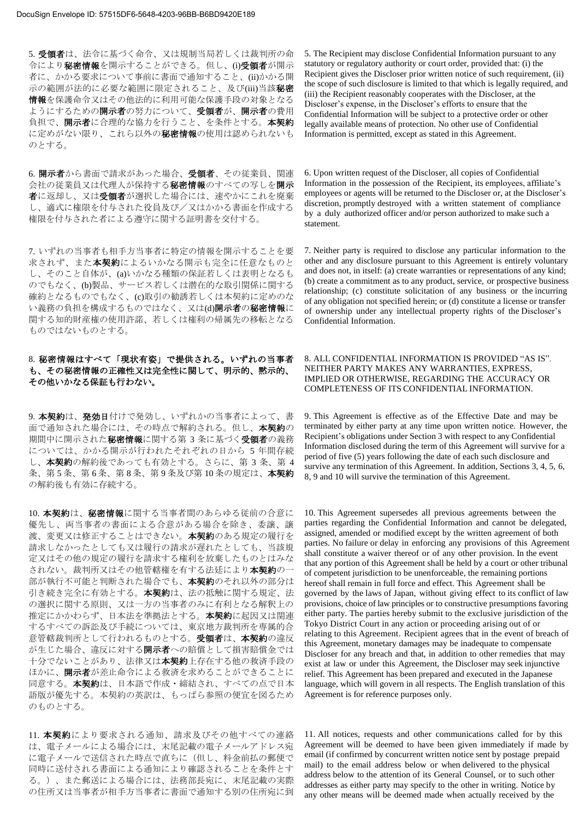5. 受領者は、法令に基づく命令、又は規制当局若しくは裁判所の命 令により秘密情報を開示することができる。但し、(i)受領者が開示 者に、かかる要求について事前に書面で通知すること、(ii)かかる開 示の範囲が法的に必要な範囲に限定されること、及び(iii)当該秘密 情報を保護命令又はその他法的に利用可能な保護手段の対象となる ようにするための開示者の努力について、受領者が、開示者の費用 負担で、開示者に合理的な協力を行うこと、を条件とする。本契約 に定めがない限り、これら以外の秘密情報の使用は認められないも のとする。

6. 開示者から書面で請求があった場合、受領者、その従業員、関連 会社の従業員又は代理人が保持する秘密情報のすべての写しを開示 おに返却し、又は受領者が選択した場合には、速やかにこれを廃棄 し、適式に権限を付与された役員及び/又はかかる書面を作成する 権限を付与された者による遵守に関する証明書を交付する。

7. いずれの当事者も相手方当事者に特定の情報を開示することを要 求されず、また本契約によるいかなる開示も完全に任意なものと し、そのこと自体が、(a)いかなる種類の保証若しくは表明となるも のでもなく、(b)製品、サービス若しくは潜在的な取引関係に関する 確約となるものでもなく、(c)取引の勧誘若しくは本契約に定めのな い義務の負担を構成するものではなく、又は(d)開示者の秘密情報に 関する知的財産権の使用許諾、若しくは権利の帰属先の移転となる ものではないものとする。

# 8. 秘密情報はすべて「現状有姿」で提供される。いずれの当事者 も、その秘密情報の正確性又は完全性に関して、明示的、黙示的、 その他いかなる保証も行わない。

9. 本契約は、発効日付けで発効し、いずれかの当事者によって、書 面で通知された場合には、その時点で解約される。但し、本契約の 期間中に開示された秘密情報に関する第 3 条に基づく受領者の義務 については、かかる開示が行われたそれぞれの日から 5 年間存続 し、本契約の解約後であっても有効とする。さらに、第 3 条、第 4 条、第5条、第6条、第8条、第9条及び第10条の規定は、本契約 の解約後も有効に存続する。

10. 本契約は、秘密情報に関する当事者間のあらゆる従前の合意に 優先し、両当事者の書面による合意がある場合を除き、委譲、譲 渡、変更又は修正することはできない。本**契約**のある規定の履行を 請求しなかったとしても又は履行の請求が遅れたとしても、当該規 定又はその他の規定の履行を請求する権利を放棄したものとはみな されない。裁判所又はその他管轄権を有する法廷により本契約の一 部が執行不可能と判断された場合でも、本契約のそれ以外の部分は 引き続き完全に有効とする。本契約は、法の抵触に関する規定、法 の選択に関する原則、又は一方の当事者のみに有利となる解釈上の 推定にかかわらず、日本法を準拠法とする。本契約に起因又は関連 するすべての訴訟及び手続については、東京地方裁判所を専属的合 意管轄裁判所として行われるものとする。受領者は、本契約の違反 が生じた場合、違反に対する開示者への賠償として損害賠償金では 十分でないことがあり、法律又は本契約上存在する他の救済手段の ほかに、開示者が差止命令による救済を求めることができることに 同意する。本契約は、日本語で作成・締結され、すべての点で日本 語版が優先する。本契約の英訳は、もっぱら参照の便宜を図るため のものとする。

11. 本契約により要求される通知、請求及びその他すべての連絡 は、電子メールによる場合には、末尾記載の電子メールアドレス宛 に電子メールで送信された時点で直ちに(但し、料金前払の郵便で 同時に送付される書面による通知により確認されることを条件とす る。)、また郵送による場合には、法務部長宛に、末尾記載の実際 の住所又は当事者が相手方当事者に書面で通知する別の住所宛に到

5. The Recipient may disclose Confidential Information pursuant to any statutory or regulatory authority or court order, provided that: (i) the Recipient gives the Discloser prior written notice of such requirement, (ii) the scope of such disclosure is limited to that which is legally required, and (iii) the Recipient reasonably cooperates with the Discloser, at the Discloser's expense, in the Discloser's efforts to ensure that the Confidential Information will be subject to a protective order or other legally available means of protection. No other use of Confidential Information is permitted, except as stated in this Agreement.

6. Upon written request of the Discloser, all copies of Confidential Information in the possession of the Recipient, its employees, affiliate's employees or agents will be returned to the Discloser or, at the Discloser's discretion, promptly destroyed with a written statement of compliance by a duly authorized officer and/or person authorized to make such a statement.

7. Neither party is required to disclose any particular information to the other and any disclosure pursuant to this Agreement is entirely voluntary and does not, in itself: (a) create warranties or representations of any kind; (b) create a commitment as to any product, service, or prospective business relationship; (c) constitute solicitation of any business or the incurring of any obligation not specified herein; or (d) constitute a license or transfer of ownership under any intellectual property rights of the Discloser's Confidential Information.

### 8. ALL CONFIDENTIAL INFORMATION IS PROVIDED "AS IS". NEITHER PARTY MAKES ANY WARRANTIES, EXPRESS, IMPLIED OR OTHERWISE, REGARDING THE ACCURACY OR COMPLETENESS OF ITS CONFIDENTIAL INFORMATION.

9. This Agreement is effective as of the Effective Date and may be terminated by either party at any time upon written notice. However, the Recipient's obligations under Section 3 with respect to any Confidential Information disclosed during the term of this Agreement will survive for a period of five (5) years following the date of each such disclosure and survive any termination of this Agreement. In addition, Sections 3, 4, 5, 6, 8, 9 and 10 will survive the termination of this Agreement.

10. This Agreement supersedes all previous agreements between the parties regarding the Confidential Information and cannot be delegated, assigned, amended or modified except by the written agreement of both parties. No failure or delay in enforcing any provisions of this Agreement shall constitute a waiver thereof or of any other provision. In the event that any portion of this Agreement shall be held by a court or other tribunal of competent jurisdiction to be unenforceable, the remaining portions hereof shall remain in full force and effect. This Agreement shall be governed by the laws of Japan, without giving effect to its conflict of law provisions, choice of law principles or to constructive presumptions favoring either party. The parties hereby submit to the exclusive jurisdiction of the Tokyo District Court in any action or proceeding arising out of or relating to this Agreement. Recipient agrees that in the event of breach of this Agreement, monetary damages may be inadequate to compensate Discloser for any breach and that, in addition to other remedies that may exist at law or under this Agreement, the Discloser may seek injunctive relief. This Agreement has been prepared and executed in the Japanese language, which will govern in all respects. The English translation of this Agreement is for reference purposes only.

11. All notices, requests and other communications called for by this Agreement will be deemed to have been given immediately if made by email (if confirmed by concurrent written notice sent by postage prepaid mail) to the email address below or when delivered to the physical address below to the attention of its General Counsel, or to such other addresses as either party may specify to the other in writing. Notice by any other means will be deemed made when actually received by the